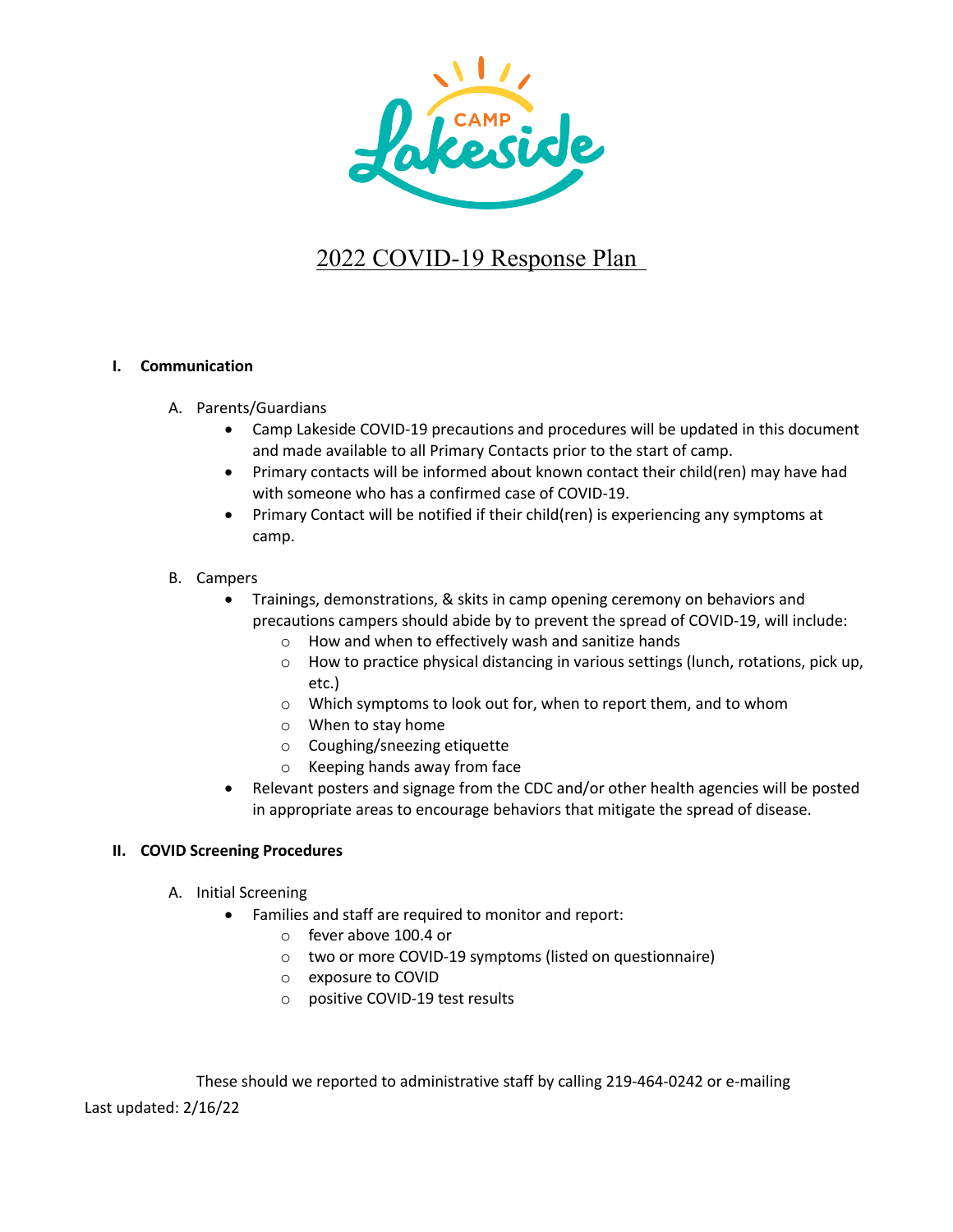

# 2022 COVID-19 Response Plan

### **I. Communication**

- A. Parents/Guardians
	- Camp Lakeside COVID-19 precautions and procedures will be updated in this document and made available to all Primary Contacts prior to the start of camp.
	- Primary contacts will be informed about known contact their child(ren) may have had with someone who has a confirmed case of COVID-19.
	- Primary Contact will be notified if their child(ren) is experiencing any symptoms at camp.

# B. Campers

- Trainings, demonstrations, & skits in camp opening ceremony on behaviors and precautions campers should abide by to prevent the spread of COVID-19, will include:
	- o How and when to effectively wash and sanitize hands
	- o How to practice physical distancing in various settings (lunch, rotations, pick up, etc.)
	- o Which symptoms to look out for, when to report them, and to whom
	- o When to stay home
	- o Coughing/sneezing etiquette
	- o Keeping hands away from face
- Relevant posters and signage from the CDC and/or other health agencies will be posted in appropriate areas to encourage behaviors that mitigate the spread of disease.

### **II. COVID Screening Procedures**

- A. Initial Screening
	- Families and staff are required to monitor and report:
		- o fever above 100.4 or
		- o two or more COVID-19 symptoms (listed on questionnaire)
		- o exposure to COVID
		- o positive COVID-19 test results

Last updated: 2/16/22 These should we reported to administrative staff by calling 219-464-0242 or e-mailing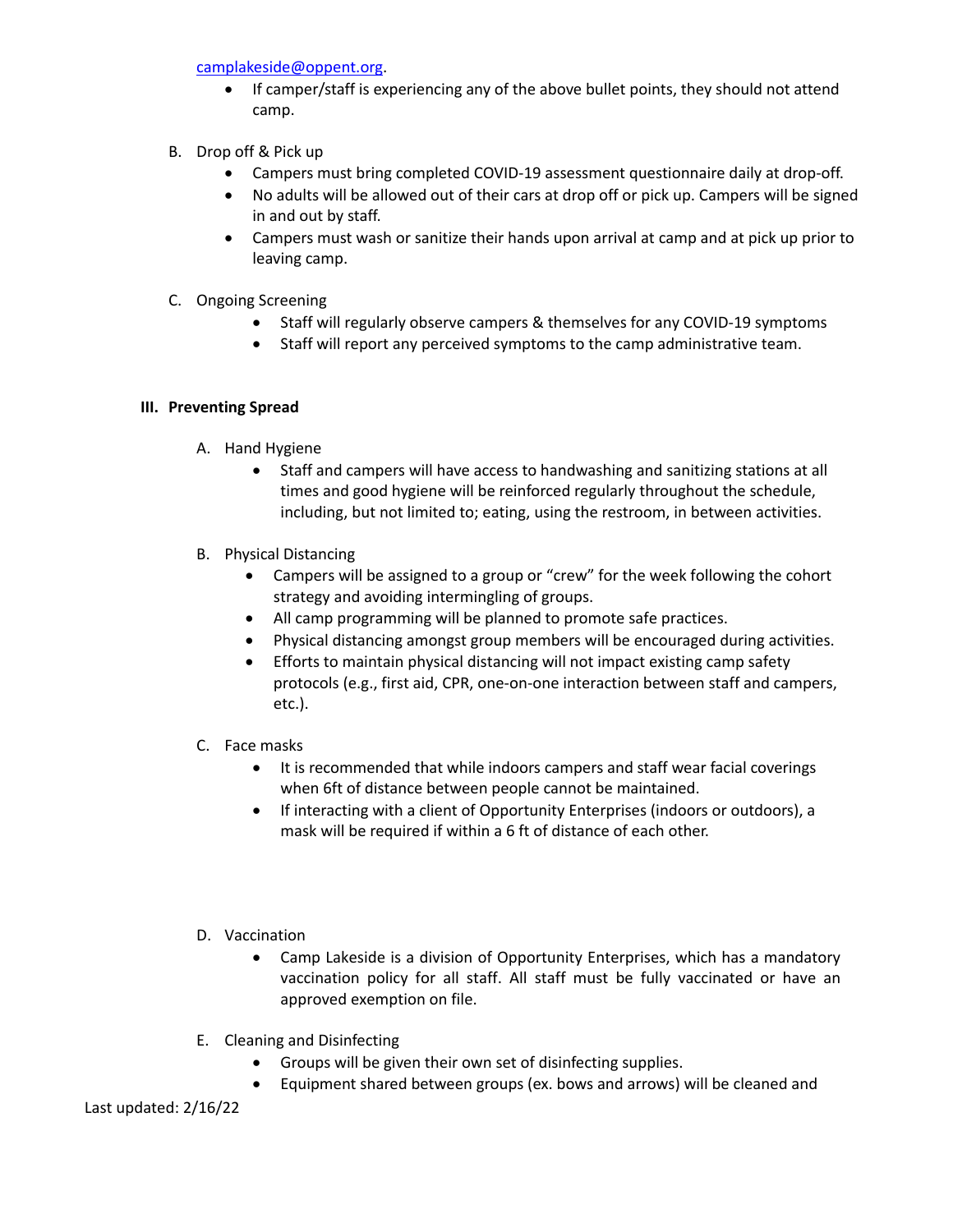camplakeside@oppent.org.

- If camper/staff is experiencing any of the above bullet points, they should not attend camp.
- B. Drop off & Pick up
	- Campers must bring completed COVID-19 assessment questionnaire daily at drop-off.
	- No adults will be allowed out of their cars at drop off or pick up. Campers will be signed in and out by staff.
	- Campers must wash or sanitize their hands upon arrival at camp and at pick up prior to leaving camp.
- C. Ongoing Screening
	- Staff will regularly observe campers & themselves for any COVID-19 symptoms
	- Staff will report any perceived symptoms to the camp administrative team.

### **III. Preventing Spread**

- A. Hand Hygiene
	- Staff and campers will have access to handwashing and sanitizing stations at all times and good hygiene will be reinforced regularly throughout the schedule, including, but not limited to; eating, using the restroom, in between activities.
- B. Physical Distancing
	- Campers will be assigned to a group or "crew" for the week following the cohort strategy and avoiding intermingling of groups.
	- All camp programming will be planned to promote safe practices.
	- Physical distancing amongst group members will be encouraged during activities.
	- Efforts to maintain physical distancing will not impact existing camp safety protocols (e.g., first aid, CPR, one-on-one interaction between staff and campers, etc.).
- C. Face masks
	- It is recommended that while indoors campers and staff wear facial coverings when 6ft of distance between people cannot be maintained.
	- If interacting with a client of Opportunity Enterprises (indoors or outdoors), a mask will be required if within a 6 ft of distance of each other.
- D. Vaccination
	- Camp Lakeside is a division of Opportunity Enterprises, which has a mandatory vaccination policy for all staff. All staff must be fully vaccinated or have an approved exemption on file.
- E. Cleaning and Disinfecting
	- Groups will be given their own set of disinfecting supplies.
	- Equipment shared between groups (ex. bows and arrows) will be cleaned and

Last updated: 2/16/22